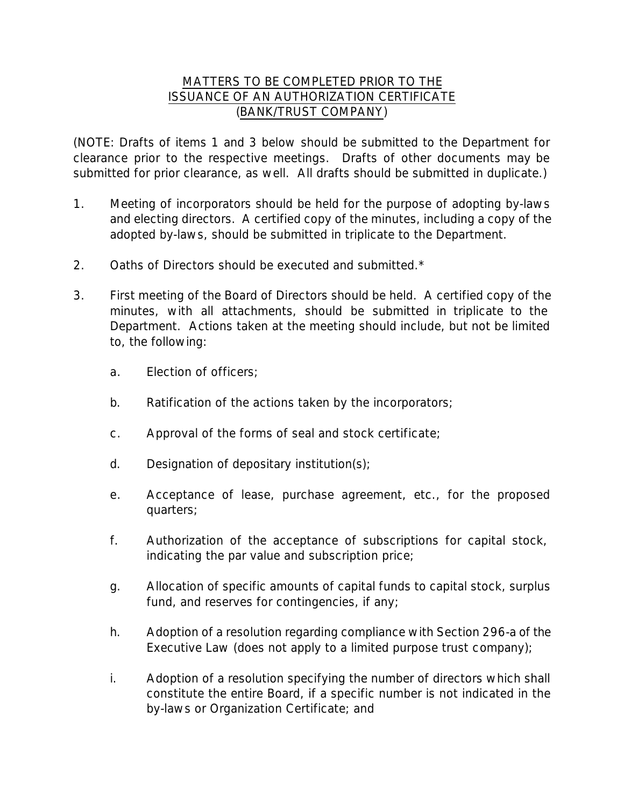## MATTERS TO BE COMPLETED PRIOR TO THE ISSUANCE OF AN AUTHORIZATION CERTIFICATE (BANK/TRUST COMPANY)

(NOTE: Drafts of items 1 and 3 below should be submitted to the Department for clearance prior to the respective meetings. Drafts of other documents may be submitted for prior clearance, as well. All drafts should be submitted in duplicate.)

- 1. Meeting of incorporators should be held for the purpose of adopting by-laws and electing directors. A certified copy of the minutes, including a copy of the adopted by-laws, should be submitted in triplicate to the Department.
- 2. Oaths of Directors should be executed and submitted.\*
- 3. First meeting of the Board of Directors should be held. A certified copy of the minutes, with all attachments, should be submitted in triplicate to the Department. Actions taken at the meeting should include, but not be limited to, the following:
	- a. Election of officers;
	- b. Ratification of the actions taken by the incorporators;
	- c. Approval of the forms of seal and stock certificate;
	- d. Designation of depositary institution(s);
	- e. Acceptance of lease, purchase agreement, etc., for the proposed quarters;
	- f. Authorization of the acceptance of subscriptions for capital stock, indicating the par value and subscription price;
	- g. Allocation of specific amounts of capital funds to capital stock, surplus fund, and reserves for contingencies, if any;
	- h. Adoption of a resolution regarding compliance with Section 296-a of the Executive Law (does not apply to a limited purpose trust company);
	- i. Adoption of a resolution specifying the number of directors which shall constitute the entire Board, if a specific number is not indicated in the by-laws or Organization Certificate; and